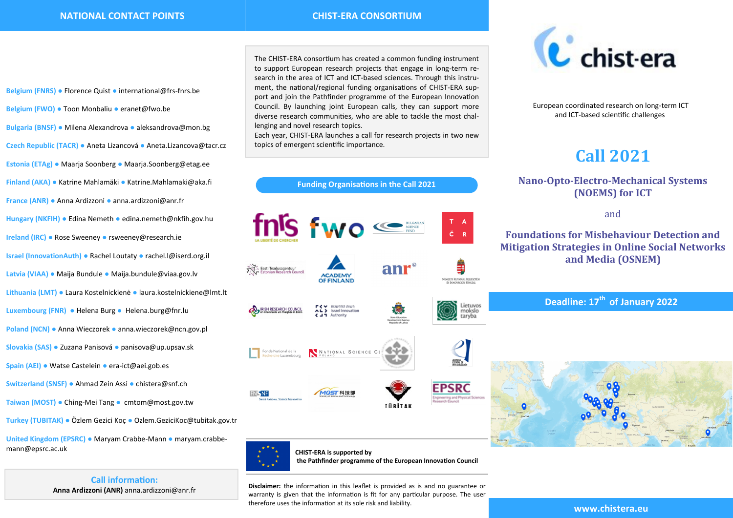**Belgium (FNRS) ●** Florence Quist **●** [international@frs](https://www.chistera.eu/international@frs-fnrs.be)-fnrs.be **Belgium (FWO) ●** Toon Monbaliu **●** [eranet@fwo.be](mailto:eranet@fwo.be) **Bulgaria (BNSF) ●** Milena Alexandrova **●** [aleksandrova@mon.bg](mailto:aleksandrova@mon.bg) **Czech Republic (TACR) ●** Aneta Lizancová **●** Aneta.Lizancova@tacr.cz **Estonia (ETAg) ●** Maarja Soonberg **●** Maarja.Soonberg@etag.ee **Finland (AKA) ●** Katrine Mahlamäki **●** Katrine.Mahlamaki@aka.fi **France (ANR) ●** Anna Ardizzoni **●** [anna.ardizzoni@anr.fr](mailto:beatrice.arnulphy@anr.fr?subject=[CHIST-ERA]%20Call%202017) **Hungary (NKFIH) ●** Edina Nemeth **●** edina.nemeth@nkfih.gov.hu **Ireland (IRC) ●** Rose Sweeney **●** rsweeney@research.ie **Israel (InnovationAuth) ●** Rachel Loutaty **●** rachel.l@iserd.org.il **Latvia (VIAA) ●** Maija Bundule **●** Maija.bundule@viaa.gov.lv **Lithuania (LMT) ●** Laura Kostelnickienė **●** [laura.kostelnickiene@lmt.lt](mailto:laura.kostelnickiene@lmt.lt) **Luxembourg (FNR) ●** Helena Burg **●** Helena.burg@fnr.lu **Poland (NCN) ●** Anna Wieczorek **●** [anna.wieczorek@ncn.gov.pl](mailto:jakub.gadek@ncn.gov.pl) **Slovakia (SAS) ●** Zuzana Panisová **●** [panisova@up.upsav.sk](mailto:panisova@up.upsav.sk?subject=[CHIST-ERA]%20Call%202017) **Spain (AEI) ●** Watse Castelein **●** era-ict@aei.gob.es **Switzerland (SNSF) ●** Ahmad Zein Assi **●** [chistera@snf.ch](mailto:chistera@snf.ch?subject=[CHIST-ERA]%20Call%202017) **Taiwan (MOST) ●** Ching-Mei Tang **●** cmtom@most.gov.tw **Turkey (TUBITAK) ●** Özlem Gezici Koç **●** Ozlem.GeziciKoc@tubitak.gov.tr

**United Kingdom (EPSRC) ●** Maryam Crabbe-Mann **●** maryam.crabbemann@epsrc.ac.uk

**Call information:** 

The CHIST-ERA consortium has created a common funding instrument to support European research projects that engage in long-term research in the area of ICT and ICT-based sciences. Through this instrument, the national/regional funding organisations of CHIST-ERA support and join the Pathfinder programme of the European Innovation Council. By launching joint European calls, they can support more diverse research communities, who are able to tackle the most challenging and novel research topics.

Each year, CHIST-ERA launches a call for research projects in two new topics of emergent scientific importance.





European coordinated research on long-term ICT and ICT-based scientific challenges

# **Call 2021**

# **Nano-Opto-Electro-Mechanical Systems (NOEMS) for ICT**

and

# **Foundations for Misbehaviour Detection and Mitigation Strategies in Online Social Networks and Media (OSNEM)**

**Deadline: 17th of January 2022**





**CHIST-ERA is supported by the Pathfinder programme of the European Innovation Council** 

**Anna Ardizzoni (ANR)** [anna.ardizzoni@anr.fr](mailto:Beatrice.Arnulphy@anr.fr?subject=[CHIST-ERA]%20Call%202017) **Disclaimer:** the information in this leaflet is provided as is and no guarantee or warranty is given that the information is fit for any particular purpose. The user therefore uses the information at its sole risk and liability.

**www.chistera.eu**